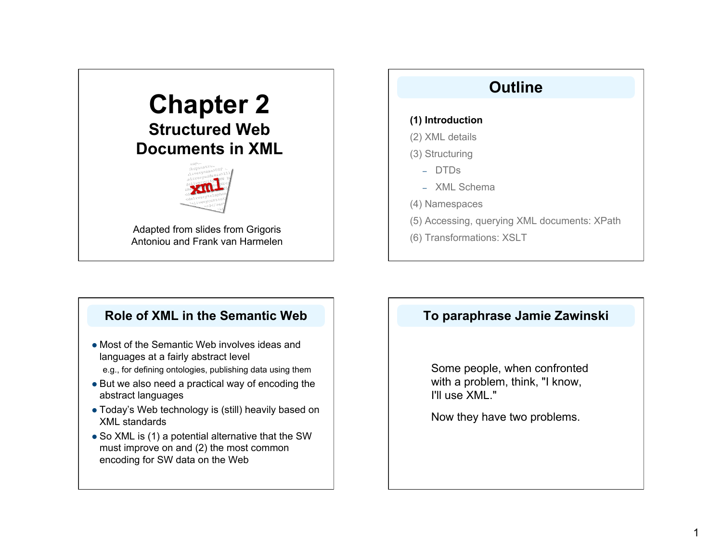# **Chapter 2 Structured Web Documents in XML**



Adapted from slides from Grigoris Antoniou and Frank van Harmelen

# **Outline**

### **(1) Introduction**

- (2) XML details
- (3) Structuring
	- DTDs
	- XML Schema
- (4) Namespaces
- (5) Accessing, querying XML documents: XPath
- (6) Transformations: XSLT

# **Role of XML in the Semantic Web**

- Most of the Semantic Web involves ideas and languages at a fairly abstract level e.g., for defining ontologies, publishing data using them
- But we also need a practical way of encoding the abstract languages
- Today's Web technology is (still) heavily based on XML standards
- So XML is (1) a potential alternative that the SW must improve on and (2) the most common encoding for SW data on the Web

# **To paraphrase Jamie Zawinski**

Some people, when confronted with a problem, think, "I know, I'll use XML."

Now they have two problems.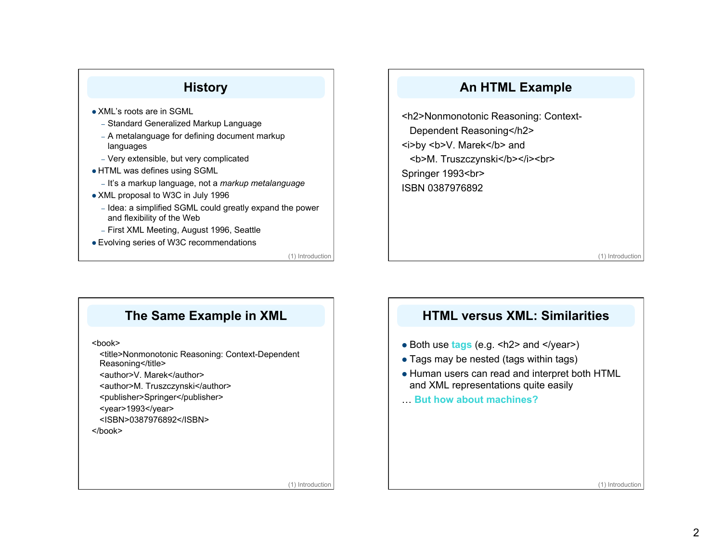

# **An HTML Example**

<h2>Nonmonotonic Reasoning: Context-Dependent Reasoning</h2> <i>by <b>V. Marek</b> and <b>M. Truszczynski</b></i><br> Springer 1993<br> ISBN 0387976892

(1) Introduction

# **The Same Example in XML**

<book>

<title>Nonmonotonic Reasoning: Context-Dependent Reasoning</title>

<author>V. Marek</author>

<author>M. Truszczynski</author>

<publisher>Springer</publisher>

<year>1993</year>

<ISBN>0387976892</ISBN>

</book>

## **HTML versus XML: Similarities**

- Both use **tags** (e.g. <h2> and </year>)
- Tags may be nested (tags within tags)
- Human users can read and interpret both HTML and XML representations quite easily
- … **But how about machines?**

(1) Introduction

(1) Introduction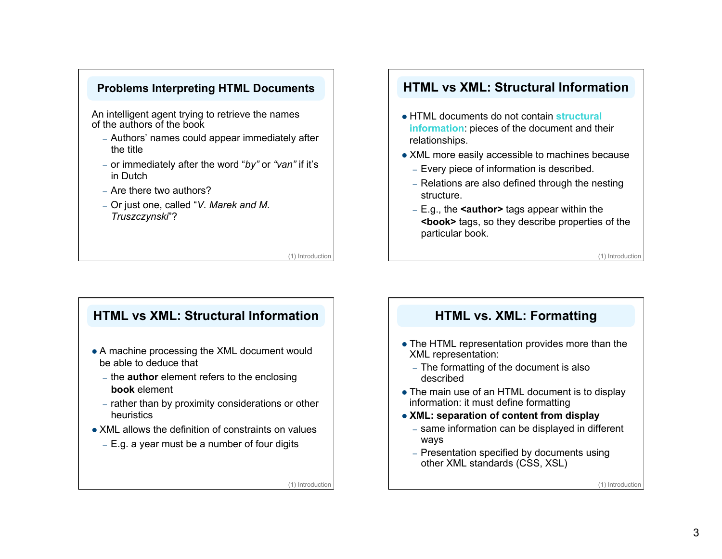### **Problems Interpreting HTML Documents**

An intelligent agent trying to retrieve the names of the authors of the book

- Authors' names could appear immediately after the title
- or immediately after the word "*by"* or *"van"* if it's in Dutch
- Are there two authors?
- Or just one, called "*V. Marek and M. Truszczynski*"?

(1) Introduction

### **HTML vs XML: Structural Information**

- HTML documents do not contain **structural information**: pieces of the document and their relationships.
- XML more easily accessible to machines because
	- Every piece of information is described.
	- Relations are also defined through the nesting structure.
	- E.g., the **<author>** tags appear within the **<book>** tags, so they describe properties of the particular book.

(1) Introduction

## **HTML vs XML: Structural Information**

- A machine processing the XML document would be able to deduce that
	- the **author** element refers to the enclosing **book** element
	- rather than by proximity considerations or other heuristics
- XML allows the definition of constraints on values
	- E.g. a year must be a number of four digits

(1) Introduction

## **HTML vs. XML: Formatting**

- The HTML representation provides more than the XML representation:
	- The formatting of the document is also described
- Τhe main use of an HTML document is to display information: it must define formatting
- **XML: separation of content from display** 
	- same information can be displayed in different ways
	- Presentation specified by documents using other XML standards (CSS, XSL)

(1) Introduction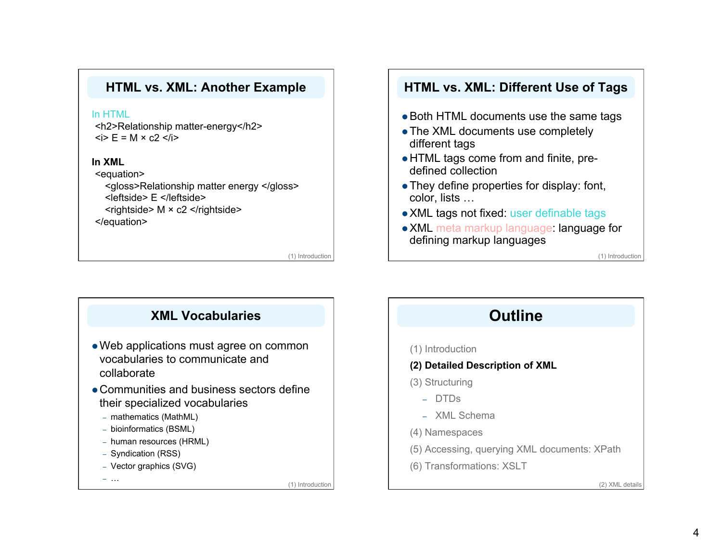### **HTML vs. XML: Another Example**

#### In HTML

<h2>Relationship matter-energy</h2>  $\langle$ i> E = M  $\times$  c2  $\langle$ i>

#### **In XML**

<equation> <gloss>Relationship matter energy </gloss> <leftside> E </leftside>  $\leq$ rightside> M  $\times$  c2  $\leq$ /rightside>

</equation>

(1) Introduction

### **HTML vs. XML: Different Use of Tags**

- Both HTML documents use the same tags
- The XML documents use completely different tags
- HTML tags come from and finite, predefined collection
- They define properties for display: font, color, lists …
- XML tags not fixed: user definable tags
- XML meta markup language: language for defining markup languages

(1) Introduction

# **XML Vocabularies**

- Web applications must agree on common vocabularies to communicate and collaborate
- Communities and business sectors define their specialized vocabularies
	- mathematics (MathML)
	- bioinformatics (BSML)
	- human resources (HRML)
	- Syndication (RSS)
	- Vector graphics (SVG)

– … (1) Introduction

# **Outline**

#### (1) Introduction

- **(2) Detailed Description of XML**
- (3) Structuring
	- DTDs
	- XML Schema
- (4) Namespaces
- (5) Accessing, querying XML documents: XPath
- (6) Transformations: XSLT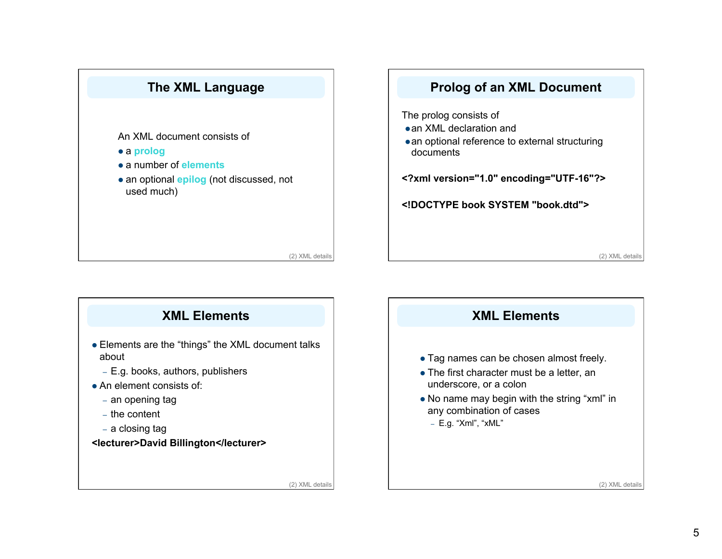



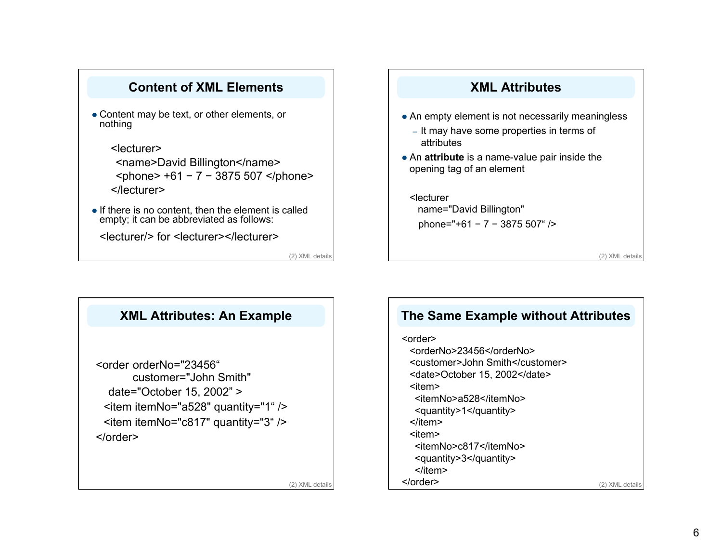### **Content of XML Elements**

- Content may be text, or other elements, or nothing
	- <lecturer> <name>David Billington</name> <phone> +61 − 7 − 3875 507 </phone> </lecturer>
- If there is no content, then the element is called empty; it can be abbreviated as follows:

<lecturer/> for <lecturer></lecturer>

(2) XML details

# **XML Attributes**

- An empty element is not necessarily meaningless
	- It may have some properties in terms of attributes
- An **attribute** is a name-value pair inside the opening tag of an element

#### <lecturer

 name="David Billington" phone="+61 − 7 − 3875 507" />

(2) XML details



# **The Same Example without Attributes**

# <order>

<orderNo>23456</orderNo> <customer>John Smith</customer> <date>October 15, 2002</date> <item> <itemNo>a528</itemNo> <quantity>1</quantity> </item> <item> <itemNo>c817</itemNo> <quantity>3</quantity> </item> </order> (2) XML details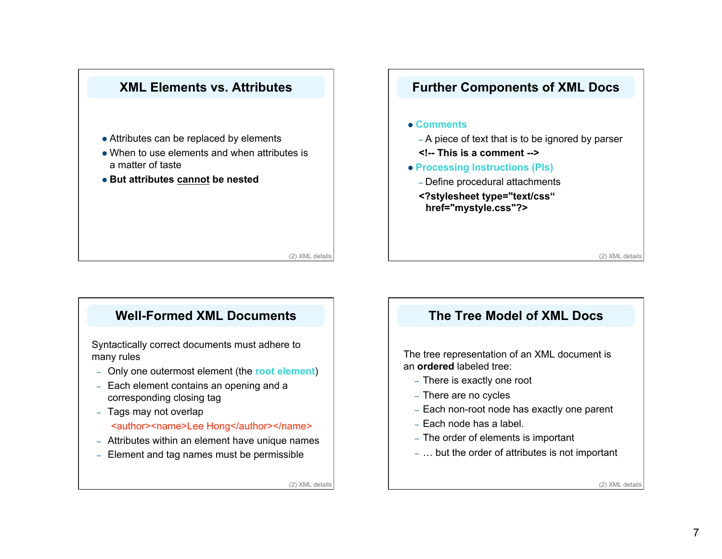

# **Well-Formed XML Documents**

Syntactically correct documents must adhere to many rules

- Only one outermost element (the **root element**)
- Each element contains an opening and a corresponding closing tag
- Tags may not overlap

#### <author><name>Lee Hong</author></name>

- Attributes within an element have unique names
- Element and tag names must be permissible

(2) XML details

## **The Tree Model of XML Docs**

The tree representation of an XML document is an **ordered** labeled tree:

- There is exactly one root
- There are no cycles
- Each non-root node has exactly one parent
- Each node has a label.
- The order of elements is important
- … but the order of attributes is not important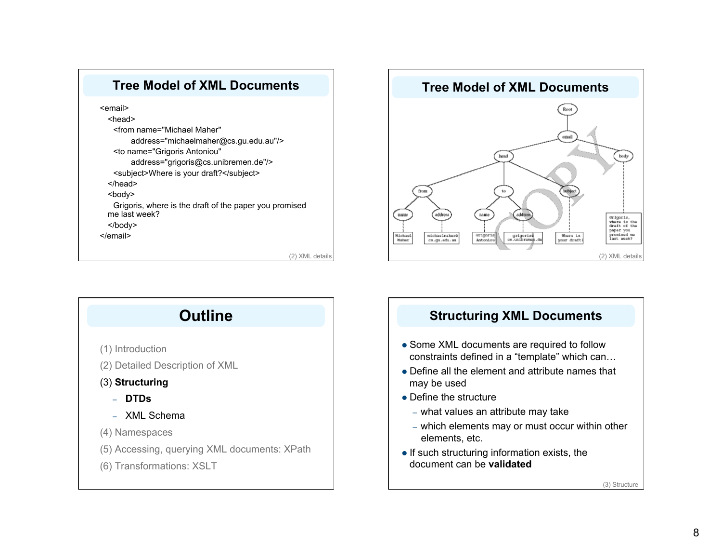





## **Structuring XML Documents**

- Some XML documents are required to follow constraints defined in a "template" which can…
- Define all the element and attribute names that may be used
- Define the structure
	- what values an attribute may take
	- which elements may or must occur within other elements, etc.
- $\bullet$  If such structuring information exists, the document can be **validated**

(3) Structure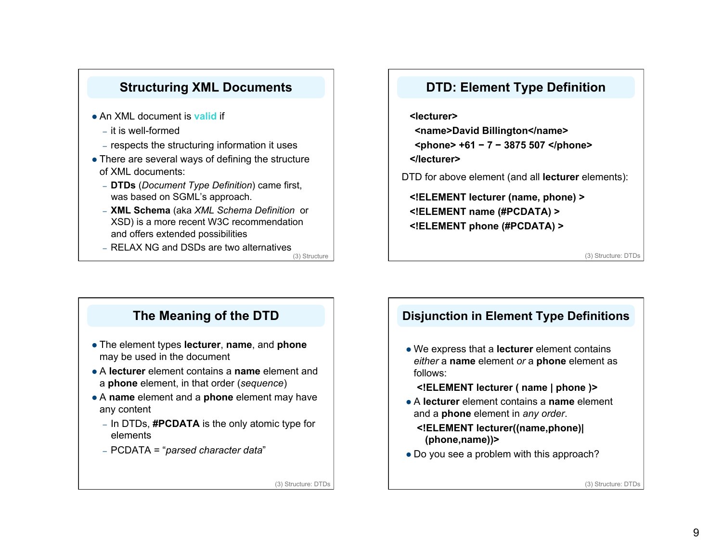

### **DTD: Element Type Definition**

**<lecturer> <name>David Billington</name> <phone> +61 − 7 − 3875 507 </phone> </lecturer>**  DTD for above element (and all **lecturer** elements):

**<!ELEMENT lecturer (name, phone) > <!ELEMENT name (#PCDATA) > <!ELEMENT phone (#PCDATA) >**

(3) Structure: DTDs

# **The Meaning of the DTD**

- The element types **lecturer**, **name**, and **phone** may be used in the document
- A **lecturer** element contains a **name** element and a **phone** element, in that order (*sequence*)
- A **name** element and a **phone** element may have any content
	- In DTDs, **#PCDATA** is the only atomic type for elements
	- PCDATA = "*parsed character data*"

(3) Structure: DTDs

## **Disjunction in Element Type Definitions**

- We express that a **lecturer** element contains *either* a **name** element *or* a **phone** element as follows:
	- **<!ELEMENT lecturer ( name | phone )>**
- A **lecturer** element contains a **name** element and a **phone** element in *any order*.

#### **<!ELEMENT lecturer((name,phone)| (phone,name))>**

• Do you see a problem with this approach?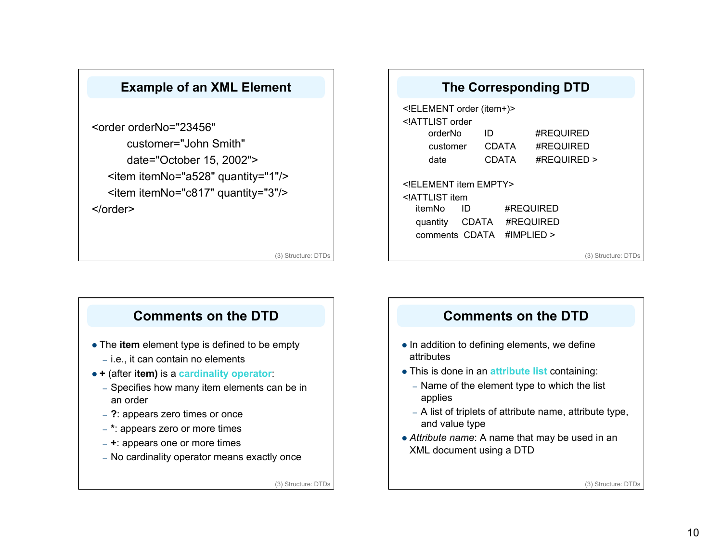## **Example of an XML Element**

<order orderNo="23456" customer="John Smith" date="October 15, 2002"> <item itemNo="a528" quantity="1"/> <item itemNo="c817" quantity="3"/> </order>

(3) Structure: DTDs

# **The Corresponding DTD** <!ELEMENT order (item+)> <!ATTLIST order orderNo ID #REQUIRED customer CDATA #REQUIRED date CDATA #REQUIRED > <!ELEMENT item EMPTY> <!ATTLIST item itemNo ID #REQUIRED quantity CDATA #REQUIRED comments CDATA #IMPLIED > (3) Structure: DTDs

## **Comments on the DTD**

- The **item** element type is defined to be empty
	- i.e., it can contain no elements
- **+** (after **item)** is a **cardinality operator**:
	- Specifies how many item elements can be in an order
	- **?**: appears zero times or once
	- **\***: appears zero or more times
	- **+**: appears one or more times
	- No cardinality operator means exactly once

(3) Structure: DTDs

# **Comments on the DTD**

- In addition to defining elements, we define attributes
- This is done in an **attribute list** containing:
	- Name of the element type to which the list applies
	- A list of triplets of attribute name, attribute type, and value type
- *Attribute name*: A name that may be used in an XML document using a DTD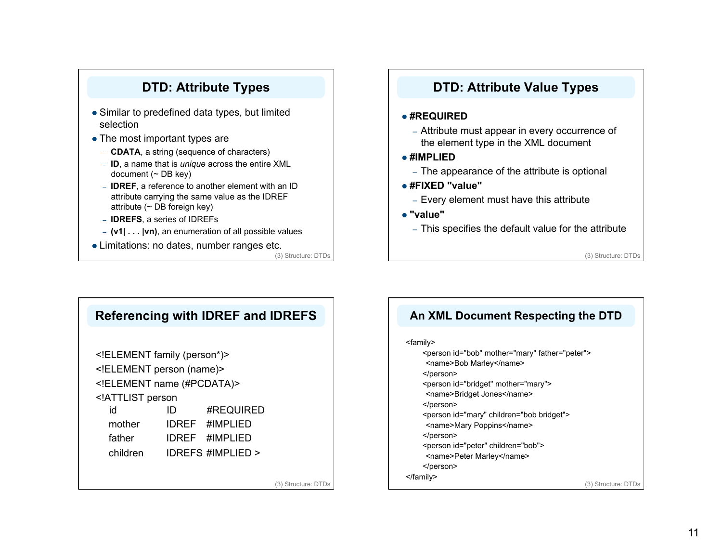# **DTD: Attribute Types**

- Similar to predefined data types, but limited selection
- The most important types are
	- **CDATA**, a string (sequence of characters)
	- **ID**, a name that is *unique* across the entire XML document  $($   $\sim$  DB key)
	- **IDREF**, a reference to another element with an ID attribute carrying the same value as the IDREF attribute ( $\sim$  DB foreign key)
	- **IDREFS**, a series of IDREFs
	- **(v1| . . . |vn)**, an enumeration of all possible values
- Limitations: no dates, number ranges etc.

(3) Structure: DTDs

### **DTD: Attribute Value Types**

#### **#REQUIRED**

- Attribute must appear in every occurrence of the element type in the XML document
- **#IMPLIED**
	- The appearance of the attribute is optional
- **#FIXED "value"**
	- Every element must have this attribute
- **"value"**
	- This specifies the default value for the attribute

(3) Structure: DTDs

| Referencing with IDREF and IDREFS                |    |                            |                     |
|--------------------------------------------------|----|----------------------------|---------------------|
| ELEMENT family (person*)                         |    |                            |                     |
| ELEMENT person (name)                            |    |                            |                     |
| ELEMENT name (#PCDATA)                           |    |                            |                     |
| ATTLIST person</td <td></td> <td></td> <td></td> |    |                            |                     |
| id                                               | ID | #REQUIRED                  |                     |
| mother                                           |    | IDREF #IMPLIED             |                     |
| father                                           |    | IDREF #IMPLIED             |                     |
|                                                  |    | children IDREFS #IMPLIED > |                     |
|                                                  |    |                            |                     |
|                                                  |    |                            | (3) Structure: DTDs |

# **An XML Document Respecting the DTD**

#### <family>

<person id="bob" mother="mary" father="peter"> <name>Bob Marley</name> </person> <person id="bridget" mother="mary"> <name>Bridget Jones</name> </person> <person id="mary" children="bob bridget"> <name>Mary Poppins</name> </person> <person id="peter" children="bob"> <name>Peter Marley</name> </person> </family> (3) Structure: DTDs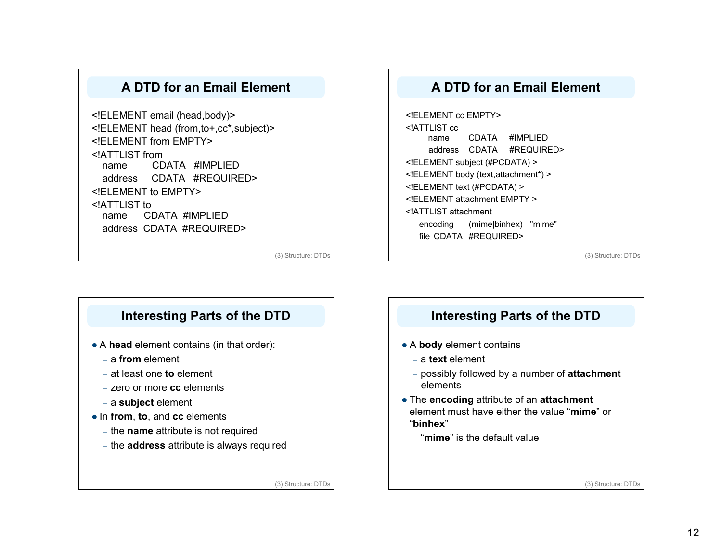### **A DTD for an Email Element**

<!ELEMENT email (head,body)> <!ELEMENT head (from,to+,cc\*,subject)> <!ELEMENT from EMPTY> <!ATTLIST from name CDATA #IMPLIED address CDATA #REQUIRED> <!ELEMENT to EMPTY> <!ATTLIST to name CDATA #IMPLIED address CDATA #REQUIRED>

(3) Structure: DTDs

### **A DTD for an Email Element**

<!ELEMENT cc EMPTY> <!ATTLIST cc name CDATA #IMPLIED address CDATA #REQUIRED> <!ELEMENT subject (#PCDATA) > <!ELEMENT body (text,attachment\*) > <!ELEMENT text (#PCDATA) > <!ELEMENT attachment EMPTY > <!ATTLIST attachment encoding (mime|binhex) "mime" file CDATA #REQUIRED>

(3) Structure: DTDs

### **Interesting Parts of the DTD**

- A **head** element contains (in that order):
	- a **from** element
	- at least one **to** element
	- zero or more **cc** elements
	- a **subject** element
- In **from**, **to**, and **cc** elements
	- the **name** attribute is not required
	- the **address** attribute is always required

(3) Structure: DTDs

# **Interesting Parts of the DTD**

- A **body** element contains
	- a **text** element
	- possibly followed by a number of **attachment** elements
- The **encoding** attribute of an **attachment** element must have either the value "**mime**" or "**binhex**"
	- "**mime**" is the default value

(3) Structure: DTDs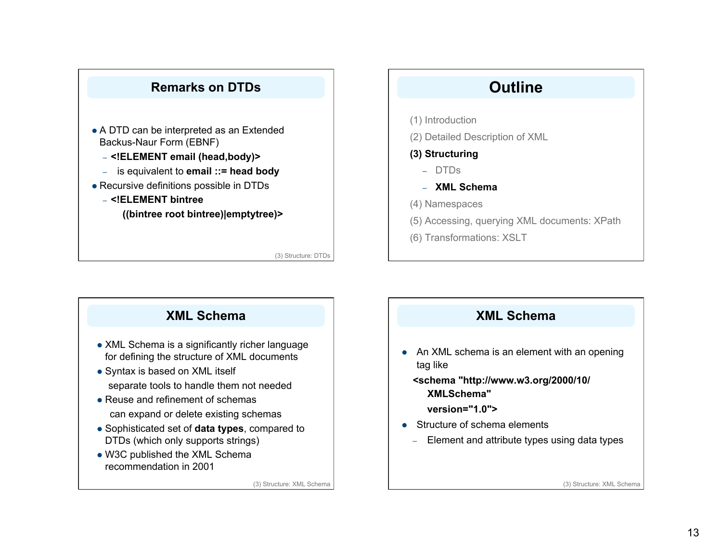

- A DTD can be interpreted as an Extended Backus-Naur Form (EBNF)
	- **<!ELEMENT email (head,body)>**
	- is equivalent to **email ::= head body**
- Recursive definitions possible in DTDs
	- **<!ELEMENT bintree ((bintree root bintree)|emptytree)>**

(3) Structure: DTDs

# **Outline**

- (1) Introduction
- (2) Detailed Description of XML

#### **(3) Structuring**

- DTDs
- **XML Schema**
- (4) Namespaces
- (5) Accessing, querying XML documents: XPath
- (6) Transformations: XSLT

# **XML Schema**

- XML Schema is a significantly richer language for defining the structure of XML documents
- Syntax is based on XML itself separate tools to handle them not needed
- Reuse and refinement of schemas can expand or delete existing schemas
- Sophisticated set of **data types**, compared to DTDs (which only supports strings)
- W3C published the XML Schema recommendation in 2001

(3) Structure: XML Schema

## **XML Schema**

• An XML schema is an element with an opening tag like

### **<schema "http://www.w3.org/2000/10/ XMLSchema"**

- **version="1.0">**
- Structure of schema elements
	- Element and attribute types using data types

(3) Structure: XML Schema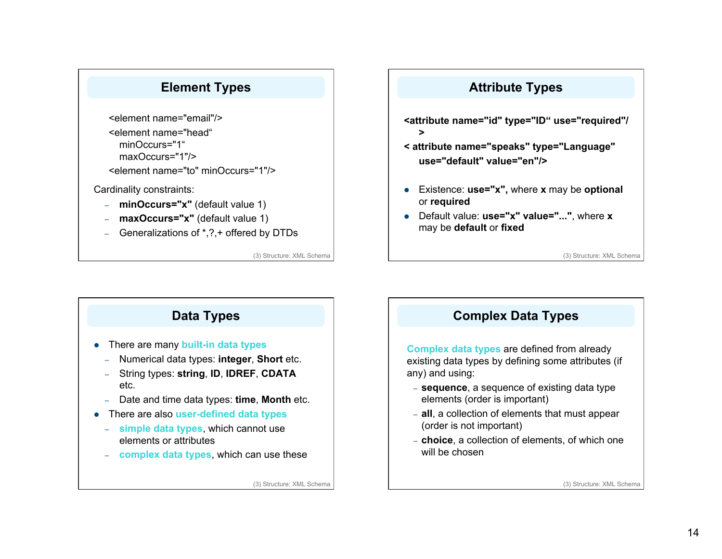# **Element Types**

<element name="email"/> <element name="head" minOccurs="1" maxOccurs="1"/> <element name="to" minOccurs="1"/>

Cardinality constraints:

- **minOccurs="x"** (default value 1)
- **maxOccurs="x"** (default value 1)
- Generalizations of \*,?,+ offered by DTDs

(3) Structure: XML Schema

# **Attribute Types**

- **<attribute name="id" type="ID" use="required"/ >**
- **< attribute name="speaks" type="Language" use="default" value="en"/>**
- Existence: **use="x",** where **x** may be **optional**  or **required**
- Default value: **use="x" value="..."**, where **x** may be **default** or **fixed**

(3) Structure: XML Schema



# **Complex Data Types**

**Complex data types** are defined from already existing data types by defining some attributes (if any) and using:

- **sequence**, a sequence of existing data type elements (order is important)
- **all**, a collection of elements that must appear (order is not important)
- **choice**, a collection of elements, of which one will be chosen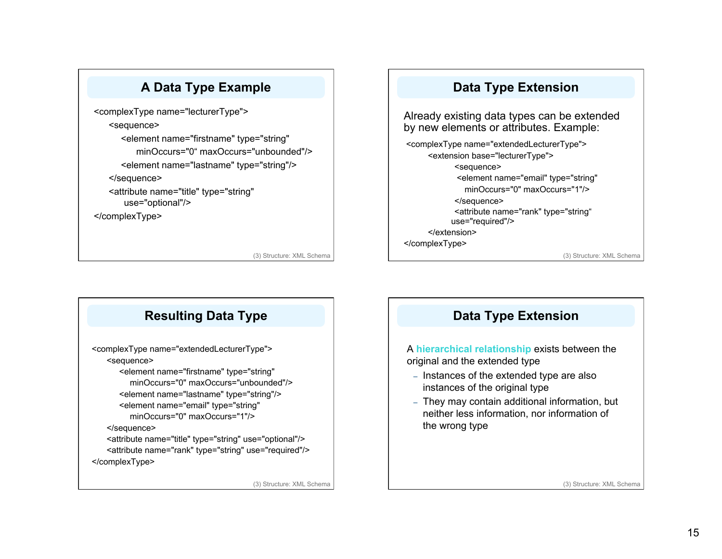

<complexType name="lecturerType"> <sequence> <element name="firstname" type="string" minOccurs="0" maxOccurs="unbounded"/> <element name="lastname" type="string"/> </sequence> <attribute name="title" type="string" use="optional"/>

</complexType>

(3) Structure: XML Schema

## **Data Type Extension**

Already existing data types can be extended by new elements or attributes. Example:

<complexType name="extendedLecturerType"> <extension base="lecturerType"> <sequence> <element name="email" type="string" minOccurs="0" maxOccurs="1"/> </sequence> <attribute name="rank" type="string" use="required"/> </extension> </complexType>

(3) Structure: XML Schema



# **Data Type Extension**

A **hierarchical relationship** exists between the original and the extended type

- Instances of the extended type are also instances of the original type
- They may contain additional information, but neither less information, nor information of the wrong type

(3) Structure: XML Schema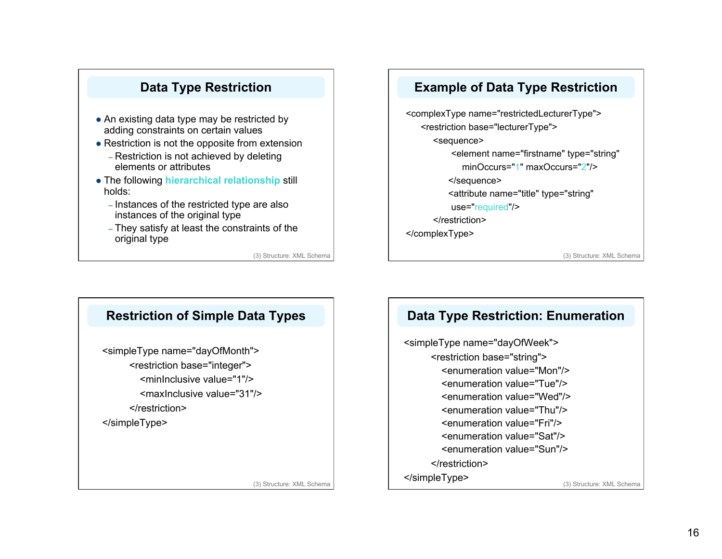# **Data Type Restriction**

- An existing data type may be restricted by adding constraints on certain values
- Restriction is not the opposite from extension
	- Restriction is not achieved by deleting elements or attributes
- The following **hierarchical relationship** still holds:
	- Instances of the restricted type are also instances of the original type
	- They satisfy at least the constraints of the original type

(3) Structure: XML Schema

### **Example of Data Type Restriction**

<complexType name="restrictedLecturerType"> <restriction base="lecturerType"> <sequence> <element name="firstname" type="string" minOccurs="1" maxOccurs="2"/> </sequence> <attribute name="title" type="string" use="required"/> </restriction> </complexType>

(3) Structure: XML Schema



## **Data Type Restriction: Enumeration**

<simpleType name="dayOfWeek"> <restriction base="string"> <enumeration value="Mon"/> <enumeration value="Tue"/> <enumeration value="Wed"/> <enumeration value="Thu"/> <enumeration value="Fri"/> <enumeration value="Sat"/> <enumeration value="Sun"/> </restriction> </simpleType> (3) Structure: XML Schema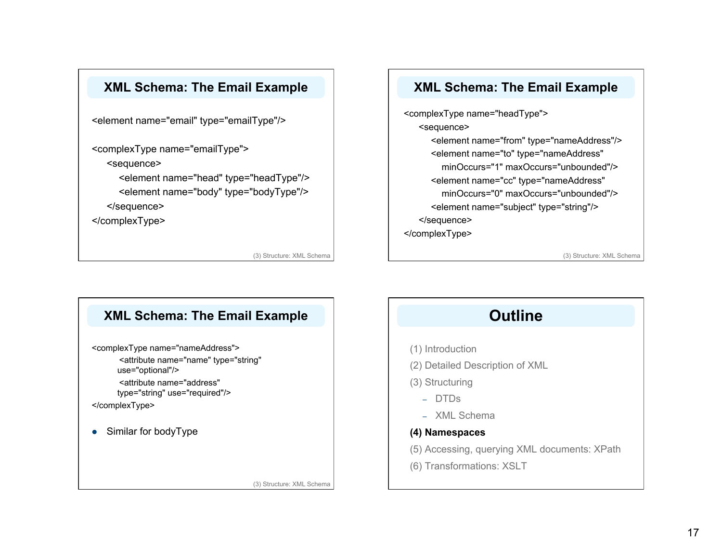

<element name="email" type="emailType"/>

<complexType name="emailType">

<sequence>

<element name="head" type="headType"/> <element name="body" type="bodyType"/> </sequence>

</complexType>

(3) Structure: XML Schema

### **XML Schema: The Email Example**

<complexType name="headType"> <sequence> <element name="from" type="nameAddress"/> <element name="to" type="nameAddress" minOccurs="1" maxOccurs="unbounded"/> <element name="cc" type="nameAddress" minOccurs="0" maxOccurs="unbounded"/> <element name="subject" type="string"/> </sequence> </complexType>

(3) Structure: XML Schema



# **Outline**

(1) Introduction

- (2) Detailed Description of XML
- (3) Structuring
	- DTDs
	- XML Schema

### **(4) Namespaces**

(5) Accessing, querying XML documents: XPath

(6) Transformations: XSLT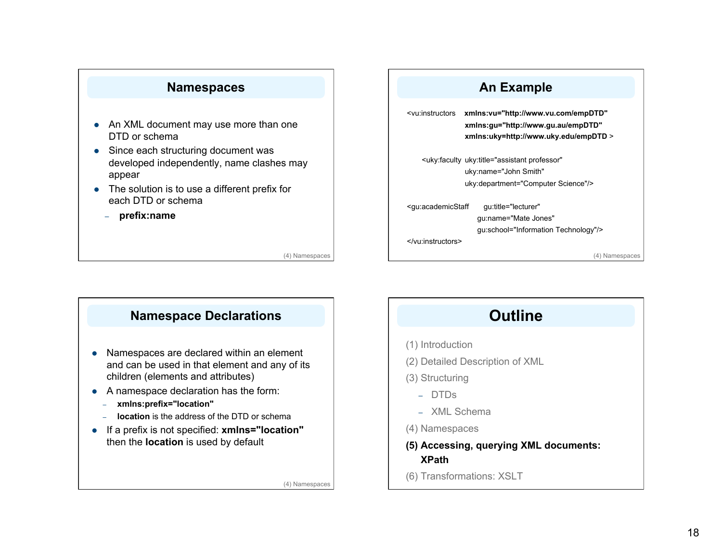

- An XML document may use more than one DTD or schema
- Since each structuring document was developed independently, name clashes may appear
- The solution is to use a different prefix for each DTD or schema
	- **prefix:name**

(4) Namespaces

## **Namespace Declarations**

- Namespaces are declared within an element and can be used in that element and any of its children (elements and attributes)
- A namespace declaration has the form:
	- **xmlns:prefix="location"**
	- **location** is the address of the DTD or schema
- If a prefix is not specified: **xmlns="location"** then the **location** is used by default

(4) Namespaces

### **An Example**

<vu:instructors **xmlns:vu="http://www.vu.com/empDTD" xmlns:gu="http://www.gu.au/empDTD" xmlns:uky=http://www.uky.edu/empDTD** > <uky:faculty uky:title="assistant professor" uky:name="John Smith" uky:department="Computer Science"/> <gu:academicStaff gu:title="lecturer" gu:name="Mate Jones" gu:school="Information Technology"/>

(4) Namespaces

# **Outline**

(1) Introduction

</vu:instructors>

- (2) Detailed Description of XML
- (3) Structuring
	- DTDs
	- XML Schema
- (4) Namespaces
- **(5) Accessing, querying XML documents: XPath**
- (6) Transformations: XSLT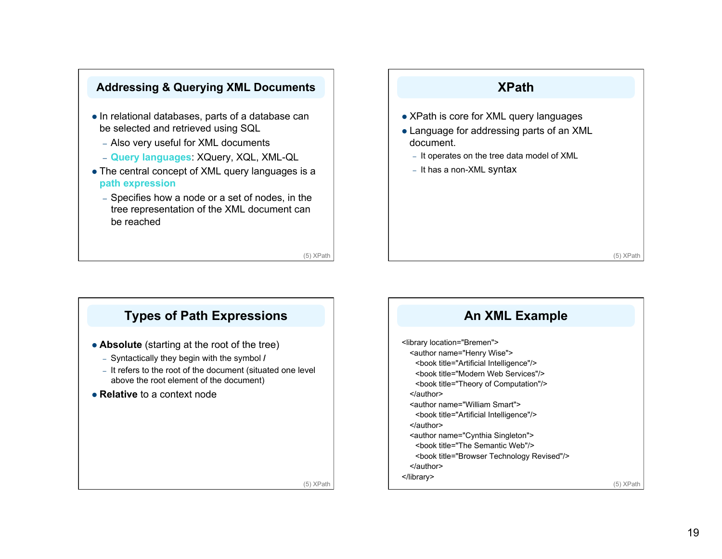

- In relational databases, parts of a database can be selected and retrieved using SQL
	- Also very useful for XML documents
	- **Query languages**: XQuery, XQL, XML-QL
- The central concept of XML query languages is a **path expression**
	- Specifies how a node or a set of nodes, in the tree representation of the XML document can be reached

(5) XPath

# **XPath** • XPath is core for XML query languages Language for addressing parts of an XML

- document.
- It operates on the tree data model of XML
- It has a non-XML syntax

(5) XPath

# **Types of Path Expressions**

- **Absolute** (starting at the root of the tree)
	- Syntactically they begin with the symbol **/**
	- It refers to the root of the document (situated one level above the root element of the document)
- **Relative** to a context node



(5) XPath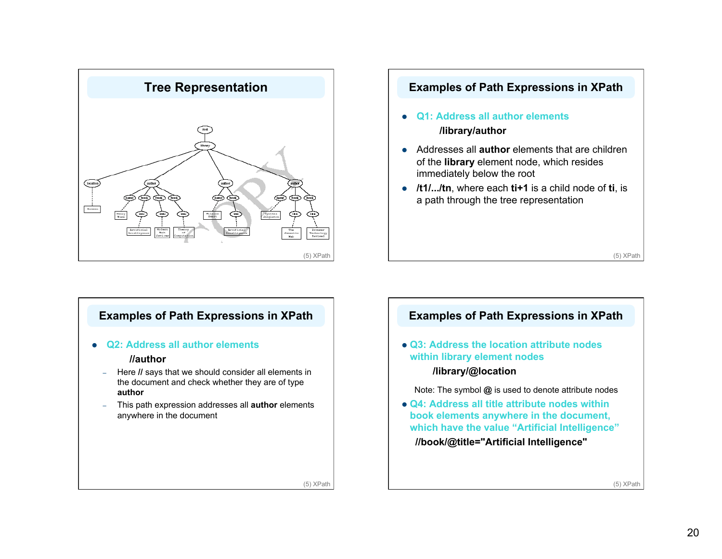



### **Examples of Path Expressions in XPath**

**Q2: Address all author elements** 

#### **//author**

- Here **//** says that we should consider all elements in the document and check whether they are of type **author**
- This path expression addresses all **author** elements anywhere in the document



(5) XPath

(5) XPath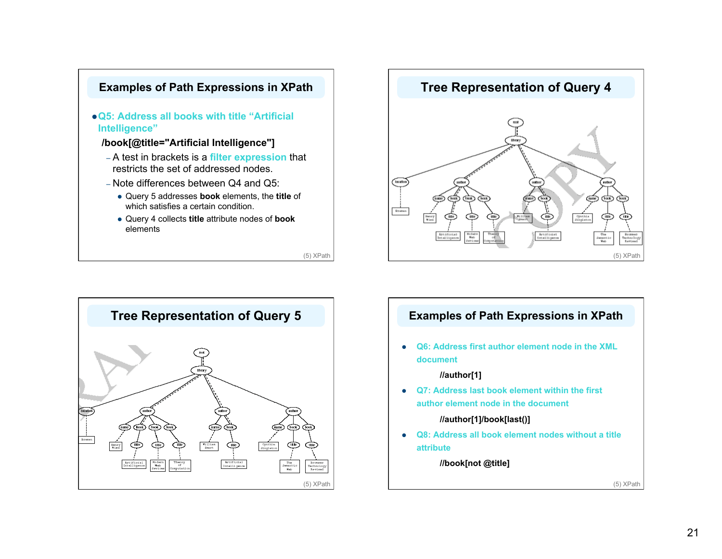





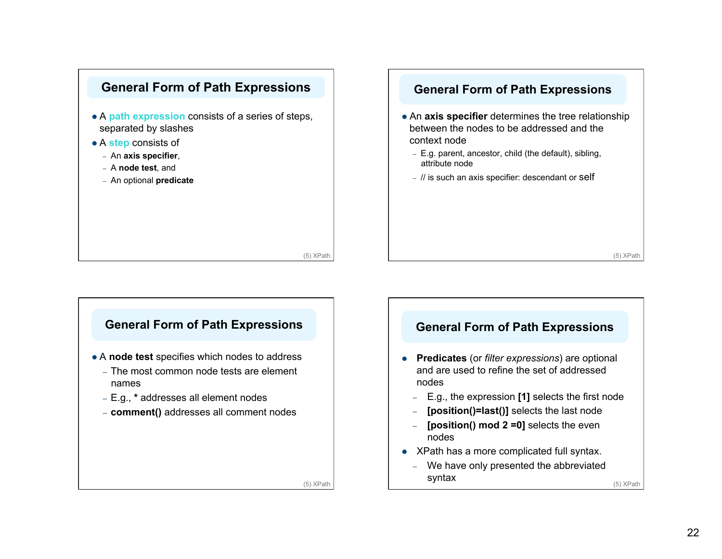





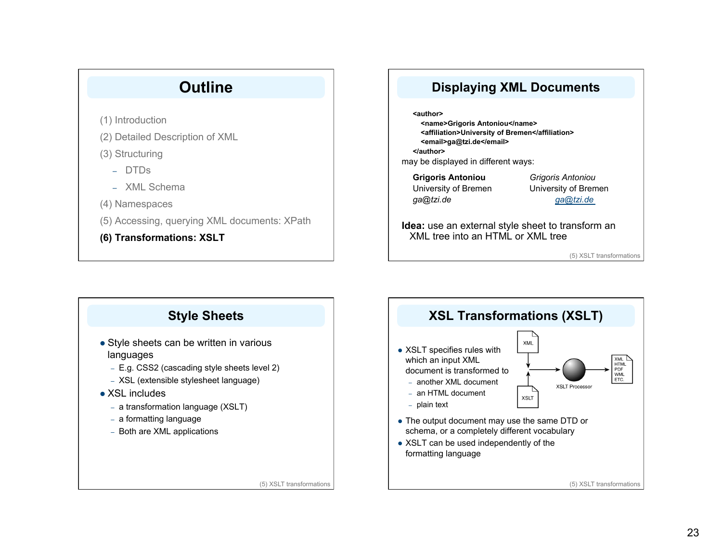# **Outline**

(1) Introduction

(2) Detailed Description of XML

(3) Structuring

- DTDs
- XML Schema
- (4) Namespaces
- (5) Accessing, querying XML documents: XPath
- **(6) Transformations: XSLT**

# **Displaying XML Documents**

**<author> <name>Grigoris Antoniou</name> <affiliation>University of Bremen</affiliation> <email>ga@tzi.de</email> </author>** may be displayed in different ways:

**Grigoris Antoniou** *Grigoris Antoniou*  University of Bremen University of Bremen *ga@tzi.de ga@tzi.de*

**Idea:** use an external style sheet to transform an XML tree into an HTML or XML tree

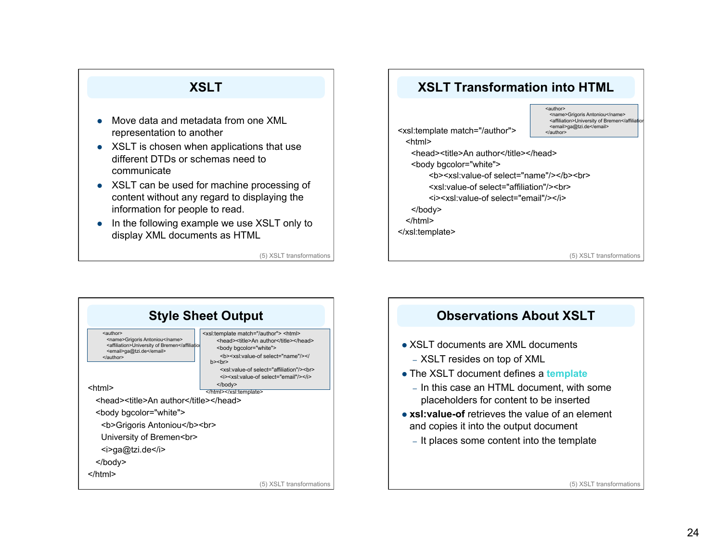# **XSLT**

- Move data and metadata from one XML representation to another
- XSLT is chosen when applications that use different DTDs or schemas need to communicate
- XSLT can be used for machine processing of content without any regard to displaying the information for people to read.
- In the following example we use XSLT only to display XML documents as HTML





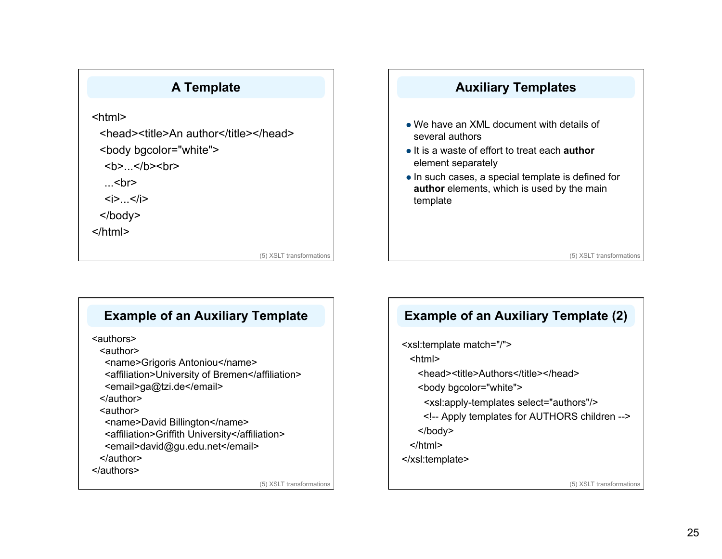

## **Example of an Auxiliary Template**

<authors>

<author>

<name>Grigoris Antoniou</name>

<affiliation>University of Bremen</affiliation>

<email>ga@tzi.de</email>

</author>

<author>

<name>David Billington</name>

<affiliation>Griffith University</affiliation>

<email>david@gu.edu.net</email>

</author>

</authors>

(5) XSLT transformations

# **Example of an Auxiliary Template (2)**

<xsl:template match="/"> <html>

<head><title>Authors</title></head>

<body bgcolor="white">

<xsl:apply-templates select="authors"/>

<!-- Apply templates for AUTHORS children -->

</body>

</html>

</xsl:template>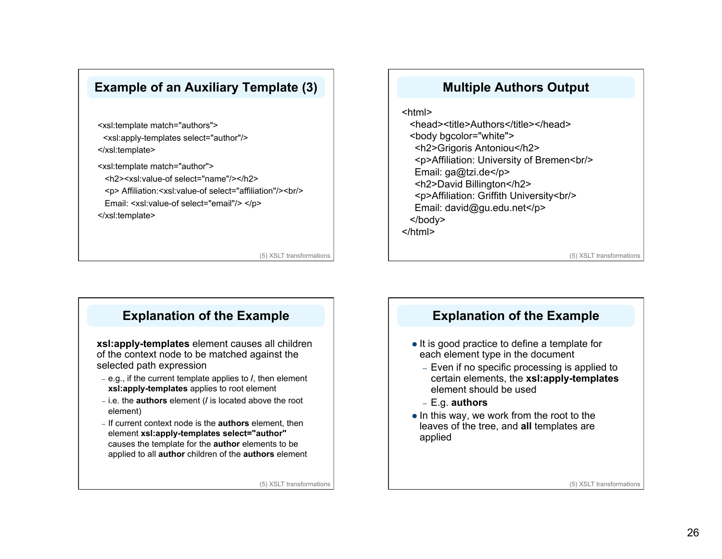# **Example of an Auxiliary Template (3)**

<xsl:template match="authors"> <xsl:apply-templates select="author"/> </xsl:template>

<xsl:template match="author"> <h2><xsl:value-of select="name"/></h2> <p> Affiliation:<xsl:value-of select="affiliation"/><br/> Email: <xsl:value-of select="email"/> </p>

</xsl:template>

(5) XSLT transformations

### **Multiple Authors Output**

<html> <head><title>Authors</title></head> <body bgcolor="white"> <h2>Grigoris Antoniou</h2>

<p>Affiliation: University of Bremen<br/> Email: ga@tzi.de</p>

<h2>David Billington</h2>

<p>Affiliation: Griffith University<br/>

Email: david@gu.edu.net</p>

</body>

</html>

(5) XSLT transformations

### **Explanation of the Example**

**xsl:apply-templates** element causes all children of the context node to be matched against the selected path expression

- e.g., if the current template applies to **/**, then element **xsl:apply-templates** applies to root element
- i.e. the **authors** element (**/** is located above the root element)
- If current context node is the **authors** element, then element **xsl:apply-templates select="author"** causes the template for the **author** elements to be applied to all **author** children of the **authors** element

(5) XSLT transformations

### **Explanation of the Example**

- It is good practice to define a template for each element type in the document
	- Even if no specific processing is applied to certain elements, the **xsl:apply-templates** element should be used
	- E.g. **authors**
- $\bullet$  In this way, we work from the root to the leaves of the tree, and **all** templates are applied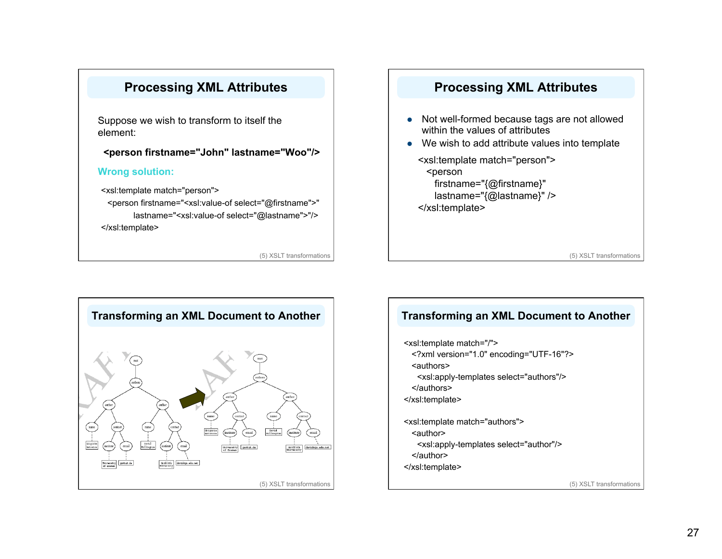

**Processing XML Attributes** 

(5) XSLT transformations

### **Processing XML Attributes**

- Not well-formed because tags are not allowed within the values of attributes
- We wish to add attribute values into template

<xsl:template match="person"> <person firstname="{@firstname}" lastname="{@lastname}" /> </xsl:template>

(5) XSLT transformations



### **Transforming an XML Document to Another**

<xsl:template match="/">

- <?xml version="1.0" encoding="UTF-16"?>
- <authors>
- <xsl:apply-templates select="authors"/>

</authors>

</xsl:template>

<xsl:template match="authors"> <author>

<xsl:apply-templates select="author"/>

- </author>
- </xsl:template>